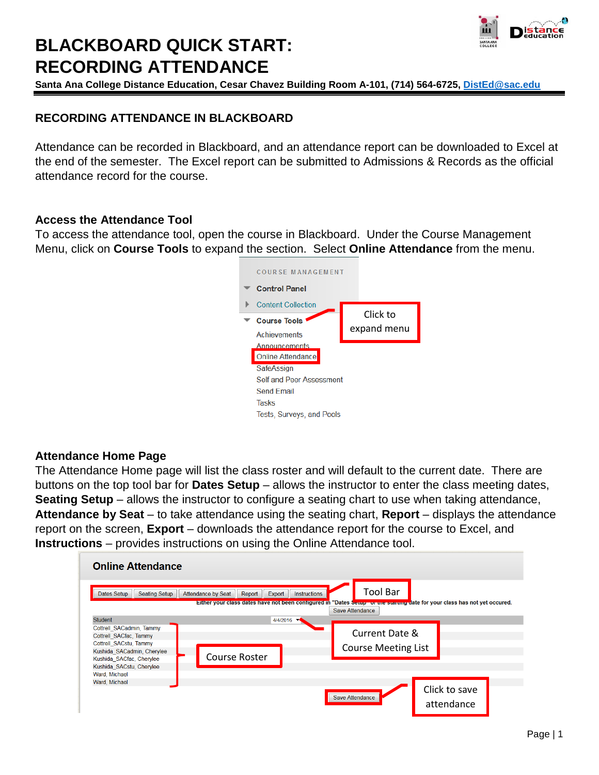

# **BLACKBOARD QUICK START: RECORDING ATTENDANCE**

**Santa Ana College Distance Education, Cesar Chavez Building Room A-101, (714) 564-6725, [DistEd@sac.edu](mailto:DistEd@sac.edu)**

# **RECORDING ATTENDANCE IN BLACKBOARD**

Attendance can be recorded in Blackboard, and an attendance report can be downloaded to Excel at the end of the semester. The Excel report can be submitted to Admissions & Records as the official attendance record for the course.

## **Access the Attendance Tool**

To access the attendance tool, open the course in Blackboard. Under the Course Management Menu, click on **Course Tools** to expand the section. Select **Online Attendance** from the menu.



### **Attendance Home Page**

The Attendance Home page will list the class roster and will default to the current date. There are buttons on the top tool bar for **Dates Setup** – allows the instructor to enter the class meeting dates, **Seating Setup** – allows the instructor to configure a seating chart to use when taking attendance, **Attendance by Seat** – to take attendance using the seating chart, **Report** – displays the attendance report on the screen, **Export** – downloads the attendance report for the course to Excel, and **Instructions** – provides instructions on using the Online Attendance tool.

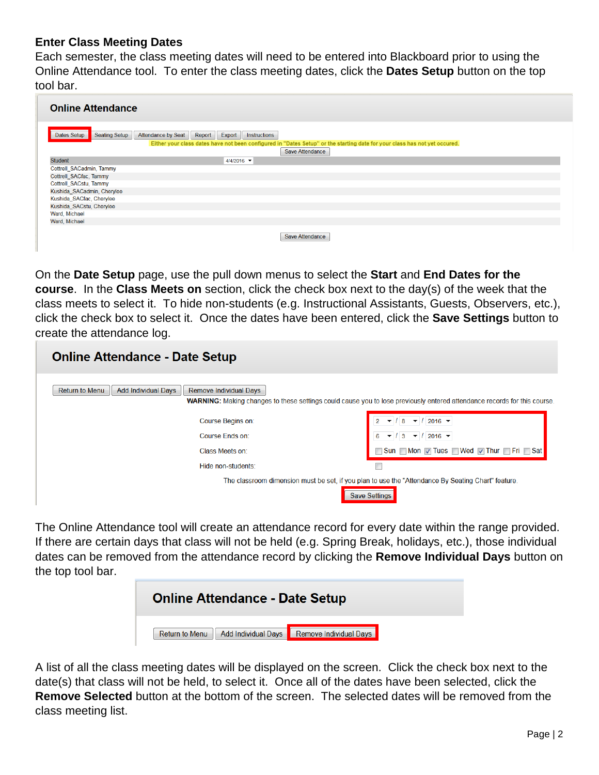### **Enter Class Meeting Dates**

Each semester, the class meeting dates will need to be entered into Blackboard prior to using the Online Attendance tool. To enter the class meeting dates, click the **Dates Setup** button on the top tool bar.

| <b>Online Attendance</b>            |                                                                                                                                                                                             |
|-------------------------------------|---------------------------------------------------------------------------------------------------------------------------------------------------------------------------------------------|
| <b>Seating Setup</b><br>Dates Setup | <b>Attendance by Seat</b><br>Export<br>Report<br>Instructions<br>Either your class dates have not been configured in "Dates Setup" or the starting date for your class has not yet occured. |
|                                     | Save Attendance                                                                                                                                                                             |
| <b>Student</b>                      | $4/4/2016$ $\blacktriangledown$                                                                                                                                                             |
| Cottrell_SACadmin, Tammy            |                                                                                                                                                                                             |
| Cottrell SACfac, Tammy              |                                                                                                                                                                                             |
| Cottrell_SACstu, Tammy              |                                                                                                                                                                                             |
| Kushida SACadmin, Cherylee          |                                                                                                                                                                                             |
| Kushida SACfac, Cherylee            |                                                                                                                                                                                             |
| Kushida SACstu, Cherylee            |                                                                                                                                                                                             |
| Ward, Michael                       |                                                                                                                                                                                             |
| Ward, Michael                       |                                                                                                                                                                                             |
|                                     | Save Attendance                                                                                                                                                                             |

On the **Date Setup** page, use the pull down menus to select the **Start** and **End Dates for the course**. In the **Class Meets on** section, click the check box next to the day(s) of the week that the class meets to select it. To hide non-students (e.g. Instructional Assistants, Guests, Observers, etc.), click the check box to select it. Once the dates have been entered, click the **Save Settings** button to create the attendance log.

| <b>Online Attendance - Date Setup</b>                                  |                                                                                                                                 |
|------------------------------------------------------------------------|---------------------------------------------------------------------------------------------------------------------------------|
| Return to Menu<br><b>Add Individual Days</b><br>Remove Individual Days | <b>WARNING:</b> Making changes to these settings could cause you to lose previously entered attendance records for this course. |
| Course Begins on:                                                      | $2016$ $\blacktriangledown$                                                                                                     |
| Course Ends on:                                                        | $3 \times 12016 \times$                                                                                                         |
| Class Meets on:                                                        | Sun Mon 7 Tues Wed 7 Thur Fri Sat                                                                                               |
| Hide non-students:                                                     |                                                                                                                                 |
| Save Setting                                                           | The classroom dimension must be set, if you plan to use the "Attendance By Seating Chart" feature.                              |

The Online Attendance tool will create an attendance record for every date within the range provided. If there are certain days that class will not be held (e.g. Spring Break, holidays, etc.), those individual dates can be removed from the attendance record by clicking the **Remove Individual Days** button on the top tool bar.



A list of all the class meeting dates will be displayed on the screen. Click the check box next to the date(s) that class will not be held, to select it. Once all of the dates have been selected, click the **Remove Selected** button at the bottom of the screen. The selected dates will be removed from the class meeting list.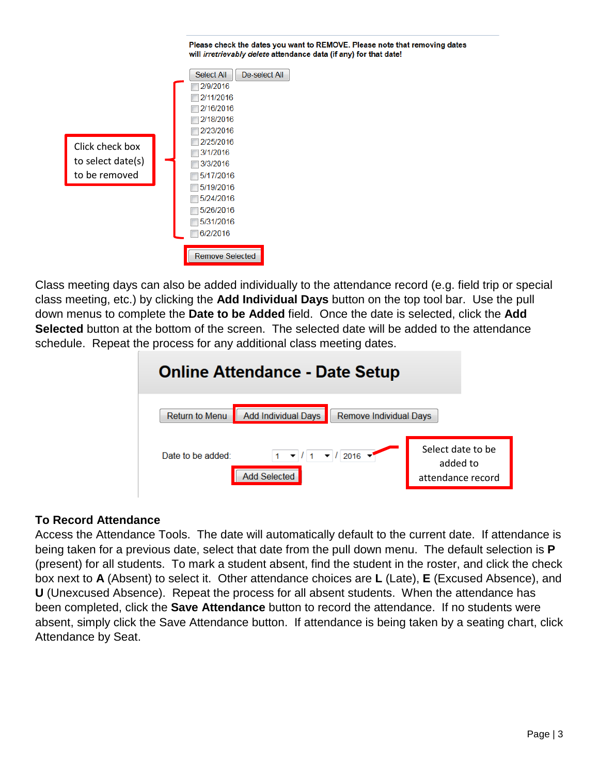

Class meeting days can also be added individually to the attendance record (e.g. field trip or special class meeting, etc.) by clicking the **Add Individual Days** button on the top tool bar. Use the pull down menus to complete the **Date to be Added** field. Once the date is selected, click the **Add Selected** button at the bottom of the screen. The selected date will be added to the attendance schedule. Repeat the process for any additional class meeting dates.



## **To Record Attendance**

Access the Attendance Tools. The date will automatically default to the current date. If attendance is being taken for a previous date, select that date from the pull down menu. The default selection is **P** (present) for all students. To mark a student absent, find the student in the roster, and click the check box next to **A** (Absent) to select it. Other attendance choices are **L** (Late), **E** (Excused Absence), and **U** (Unexcused Absence). Repeat the process for all absent students. When the attendance has been completed, click the **Save Attendance** button to record the attendance. If no students were absent, simply click the Save Attendance button. If attendance is being taken by a seating chart, click Attendance by Seat.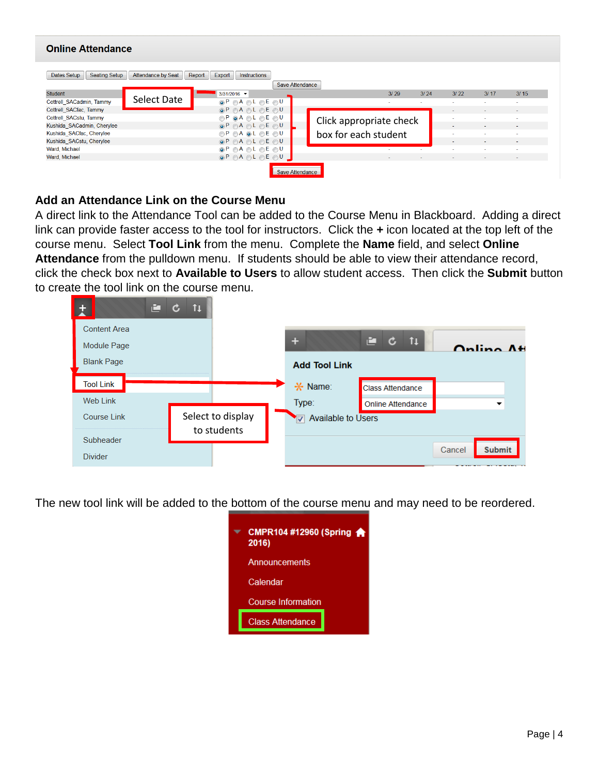| <b>Online Attendance</b>                                                                                                              |             |                                                   |                        |  |                         |                          |      |                          |                          |                          |  |  |  |
|---------------------------------------------------------------------------------------------------------------------------------------|-------------|---------------------------------------------------|------------------------|--|-------------------------|--------------------------|------|--------------------------|--------------------------|--------------------------|--|--|--|
| <b>Seating Setup</b><br><b>Attendance by Seat</b><br>Dates Setup<br>Report<br>Export<br><b>Instructions</b><br><b>Save Attendance</b> |             |                                                   |                        |  |                         |                          |      |                          |                          |                          |  |  |  |
| <b>Student</b>                                                                                                                        |             | $3/31/2016$ $\blacktriangleright$                 |                        |  |                         | 3/29                     | 3/24 | 3/22                     | 3/17                     | 3/15                     |  |  |  |
| Cottrell SACadmin, Tammy                                                                                                              | Select Date | $\odot$ P $\odot$ A $\odot$ L $\odot$ E $\odot$ U |                        |  |                         | $\overline{\phantom{a}}$ | ۰    | $\sim$                   | $\overline{\phantom{a}}$ | $\sim$                   |  |  |  |
| Cottrell SACfac, Tammy                                                                                                                |             | $\odot$ P $\odot$ A $\odot$ L $\odot$ E $\odot$ U |                        |  |                         |                          |      | $\sim$                   | ٠                        | $\sim$                   |  |  |  |
| Cottrell SACstu, Tammy                                                                                                                |             | $OP$ $\odot$ A $\odot$ L $\odot$ E $\odot$ U      |                        |  |                         |                          |      | $\overline{\phantom{a}}$ | $\overline{\phantom{a}}$ | $\overline{\phantom{a}}$ |  |  |  |
| Kushida SACadmin, Cherylee                                                                                                            |             | $\odot$ P $\odot$ A $\odot$ L $\odot$ E $\odot$ U |                        |  | Click appropriate check |                          |      | $\sim$                   | $\sim$                   | $\sim$                   |  |  |  |
| Kushida_SACfac, Cherylee                                                                                                              |             | $OP$ $OA$ $OL$ $OE$ $OU$                          |                        |  | box for each student    |                          |      | $\sim$                   |                          | $\sim$                   |  |  |  |
| Kushida SACstu, Cherylee                                                                                                              |             | $\odot$ P $\odot$ A $\odot$ L $\odot$ E $\odot$ U |                        |  |                         |                          |      | $\sim$                   | $\overline{\phantom{a}}$ | $\sim$                   |  |  |  |
| Ward, Michael                                                                                                                         |             | $\odot$ P $\odot$ A $\odot$ L $\odot$ E $\odot$ U |                        |  |                         | $\sim$                   | ÷.   | $\sim$                   | $\overline{\phantom{a}}$ | $\overline{\phantom{a}}$ |  |  |  |
| Ward, Michael                                                                                                                         |             | $\odot$ P $\odot$ A $\odot$ L $\odot$ E $\odot$ U |                        |  |                         | $\sim$                   | ۰    | $\sim$                   | $\sim$                   | $\sim$                   |  |  |  |
|                                                                                                                                       |             |                                                   | <b>Save Attendance</b> |  |                         |                          |      |                          |                          |                          |  |  |  |

## **Add an Attendance Link on the Course Menu**

A direct link to the Attendance Tool can be added to the Course Menu in Blackboard. Adding a direct link can provide faster access to the tool for instructors. Click the **+** icon located at the top left of the course menu. Select **Tool Link** from the menu. Complete the **Name** field, and select **Online Attendance** from the pulldown menu. If students should be able to view their attendance record, click the check box next to **Available to Users** to allow student access. Then click the **Submit** button to create the tool link on the course menu.

| 直                   | 11<br>$\mathbf c$ |                      |                         |                         |  |
|---------------------|-------------------|----------------------|-------------------------|-------------------------|--|
| <b>Content Area</b> |                   |                      |                         |                         |  |
| Module Page         |                   | ÷                    | 11<br>白<br>$\mathbf{c}$ | Online Att              |  |
| <b>Blank Page</b>   |                   | <b>Add Tool Link</b> |                         |                         |  |
| <b>Tool Link</b>    |                   | * Name:              | <b>Class Attendance</b> |                         |  |
| <b>Web Link</b>     |                   | Type:                | Online Attendance       | ▼                       |  |
| <b>Course Link</b>  | Select to display | V Available to Users |                         |                         |  |
| Subheader           | to students       |                      |                         |                         |  |
| <b>Divider</b>      |                   |                      |                         | <b>Submit</b><br>Cancel |  |

The new tool link will be added to the bottom of the course menu and may need to be reordered.

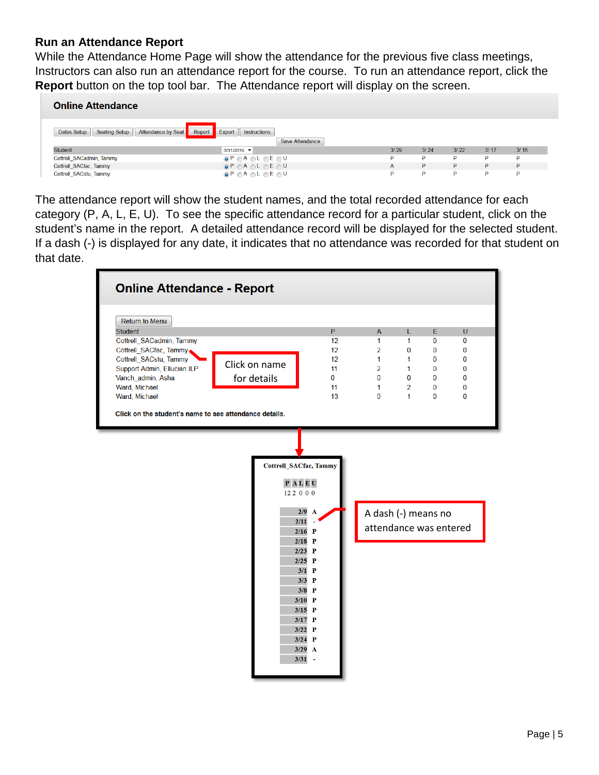## **Run an Attendance Report**

While the Attendance Home Page will show the attendance for the previous five class meetings, Instructors can also run an attendance report for the course. To run an attendance report, click the **Report** button on the top tool bar. The Attendance report will display on the screen.

| <b>Online Attendance</b>                                            |                                                   |      |      |      |      |      |  |  |  |  |  |  |  |
|---------------------------------------------------------------------|---------------------------------------------------|------|------|------|------|------|--|--|--|--|--|--|--|
| <b>Seating Setup</b><br>Attendance by Seat<br>Report<br>Dates Setup | Export<br>Instructions<br>Save Attendance         |      |      |      |      |      |  |  |  |  |  |  |  |
| <b>Student</b>                                                      | $3/31/2016$ $\blacktriangledown$                  | 3/29 | 3/24 | 3/22 | 3/17 | 3/15 |  |  |  |  |  |  |  |
| Cottrell SACadmin, Tammy                                            | $\odot$ P $\odot$ A $\odot$ L $\odot$ E $\odot$ U | P    | P    | P    | D    | P    |  |  |  |  |  |  |  |
| Cottrell SACfac, Tammy                                              | $\odot$ P $\odot$ A $\odot$ L $\odot$ E $\odot$ U | A    | P    | P    | P.   | P    |  |  |  |  |  |  |  |
| Cottrell SACstu, Tammy                                              | $\odot$ P $\odot$ A $\odot$ L $\odot$ E $\odot$ U | D    | Þ    | P    | P    | Þ    |  |  |  |  |  |  |  |

The attendance report will show the student names, and the total recorded attendance for each category (P, A, L, E, U). To see the specific attendance record for a particular student, click on the student's name in the report. A detailed attendance record will be displayed for the selected student. If a dash (-) is displayed for any date, it indicates that no attendance was recorded for that student on that date.

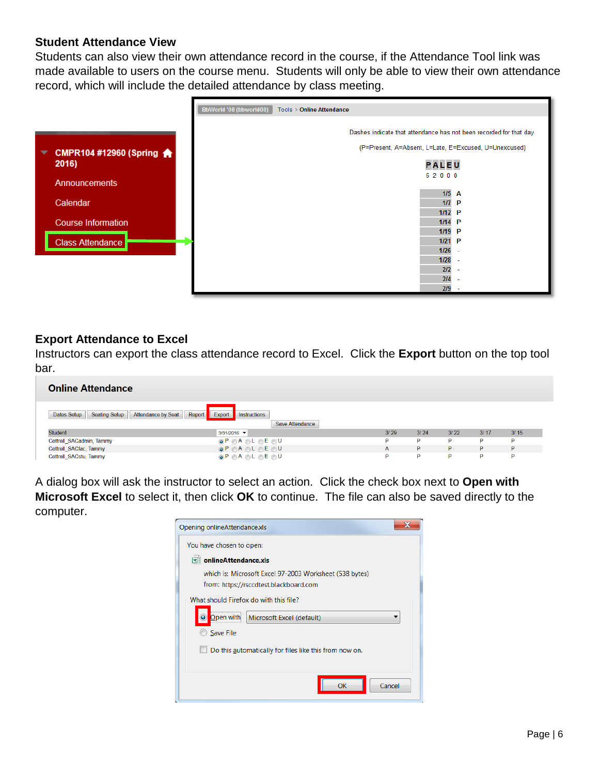### **Student Attendance View**

Students can also view their own attendance record in the course, if the Attendance Tool link was made available to users on the course menu. Students will only be able to view their own attendance record, which will include the detailed attendance by class meeting.



### **Export Attendance to Excel**

Instructors can export the class attendance record to Excel. Click the **Export** button on the top tool bar.

| <b>Online Attendance</b>                                         |                                                     |      |      |      |      |      |  |  |  |  |  |  |  |
|------------------------------------------------------------------|-----------------------------------------------------|------|------|------|------|------|--|--|--|--|--|--|--|
| <b>Seating Setup</b><br><b>Attendance by Seat</b><br>Dates Setup | Report<br>Export<br>Instructions<br>Save Attendance |      |      |      |      |      |  |  |  |  |  |  |  |
| <b>Student</b>                                                   | $3/31/2016$ $\blacktriangledown$                    | 3/29 | 3/24 | 3/22 | 3/17 | 3/15 |  |  |  |  |  |  |  |
| Cottrell SACadmin, Tammy                                         | $\odot$ P $\odot$ A $\odot$ L $\odot$ E $\odot$ U   | P    | P    | P    | D    | P    |  |  |  |  |  |  |  |
| Cottrell SACfac, Tammy                                           | $\odot$ P $\odot$ A $\odot$ L $\odot$ E $\odot$ U   | A    | P    | P    | P.   | P    |  |  |  |  |  |  |  |
| Cottrell SACstu, Tammy                                           | $\odot$ P $\odot$ A $\odot$ L $\odot$ E $\odot$ U   | P    | Þ    | Þ    | P    | Þ    |  |  |  |  |  |  |  |

A dialog box will ask the instructor to select an action. Click the check box next to **Open with Microsoft Excel** to select it, then click **OK** to continue. The file can also be saved directly to the computer.